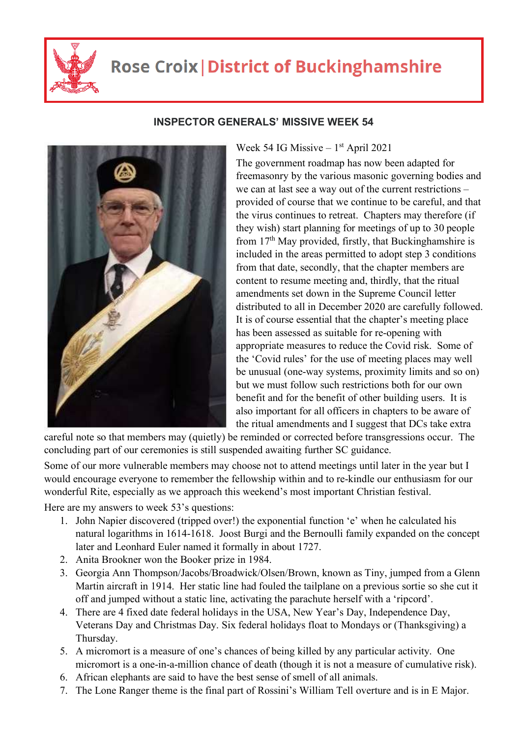

## **Rose Croix | District of Buckinghamshire**



## **INSPECTOR GENERALS' MISSIVE WEEK 54**

Week 54 IG Missive  $-1$ <sup>st</sup> April 2021

The government roadmap has now been adapted for freemasonry by the various masonic governing bodies and we can at last see a way out of the current restrictions – provided of course that we continue to be careful, and that the virus continues to retreat. Chapters may therefore (if they wish) start planning for meetings of up to 30 people from 17<sup>th</sup> May provided, firstly, that Buckinghamshire is included in the areas permitted to adopt step 3 conditions from that date, secondly, that the chapter members are content to resume meeting and, thirdly, that the ritual amendments set down in the Supreme Council letter distributed to all in December 2020 are carefully followed. It is of course essential that the chapter's meeting place has been assessed as suitable for re-opening with appropriate measures to reduce the Covid risk. Some of the 'Covid rules' for the use of meeting places may well be unusual (one-way systems, proximity limits and so on) but we must follow such restrictions both for our own benefit and for the benefit of other building users. It is also important for all officers in chapters to be aware of the ritual amendments and I suggest that DCs take extra

careful note so that members may (quietly) be reminded or corrected before transgressions occur. The concluding part of our ceremonies is still suspended awaiting further SC guidance.

Some of our more vulnerable members may choose not to attend meetings until later in the year but I would encourage everyone to remember the fellowship within and to re-kindle our enthusiasm for our wonderful Rite, especially as we approach this weekend's most important Christian festival.

Here are my answers to week 53's questions:

- 1. John Napier discovered (tripped over!) the exponential function 'e' when he calculated his natural logarithms in 1614-1618. Joost Burgi and the Bernoulli family expanded on the concept later and Leonhard Euler named it formally in about 1727.
- 2. Anita Brookner won the Booker prize in 1984.
- 3. Georgia Ann Thompson/Jacobs/Broadwick/Olsen/Brown, known as Tiny, jumped from a Glenn Martin aircraft in 1914. Her static line had fouled the tailplane on a previous sortie so she cut it off and jumped without a static line, activating the parachute herself with a 'ripcord'.
- 4. There are 4 fixed date federal holidays in the USA, New Year's Day, Independence Day, Veterans Day and Christmas Day. Six federal holidays float to Mondays or (Thanksgiving) a Thursday.
- 5. A micromort is a measure of one's chances of being killed by any particular activity. One micromort is a one-in-a-million chance of death (though it is not a measure of cumulative risk).
- 6. African elephants are said to have the best sense of smell of all animals.
- 7. The Lone Ranger theme is the final part of Rossini's William Tell overture and is in E Major.